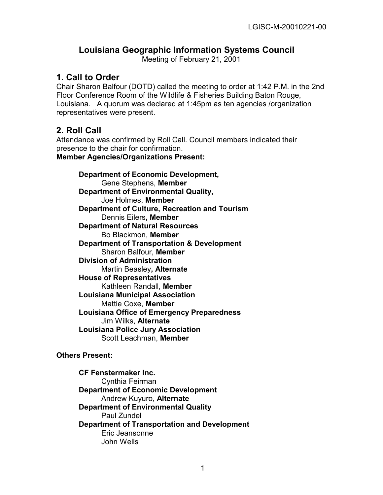# **Louisiana Geographic Information Systems Council**

Meeting of February 21, 2001

#### **1. Call to Order**

Chair Sharon Balfour (DOTD) called the meeting to order at 1:42 P.M. in the 2nd Floor Conference Room of the Wildlife & Fisheries Building Baton Rouge, Louisiana. A quorum was declared at 1:45pm as ten agencies /organization representatives were present.

# **2. Roll Call**

Attendance was confirmed by Roll Call. Council members indicated their presence to the chair for confirmation.

**Member Agencies/Organizations Present:**

**Department of Economic Development,**  Gene Stephens, **Member Department of Environmental Quality,**  Joe Holmes, **Member Department of Culture, Recreation and Tourism**  Dennis Eilers**, Member Department of Natural Resources**  Bo Blackmon, **Member Department of Transportation & Development**  Sharon Balfour, **Member Division of Administration** Martin Beasley**, Alternate House of Representatives**  Kathleen Randall, **Member Louisiana Municipal Association** Mattie Coxe, **Member Louisiana Office of Emergency Preparedness**  Jim Wilks, **Alternate Louisiana Police Jury Association**  Scott Leachman, **Member** 

#### **Others Present:**

**CF Fenstermaker Inc.**  Cynthia Feirman **Department of Economic Development**  Andrew Kuyuro, **Alternate Department of Environmental Quality**  Paul Zundel **Department of Transportation and Development**  Eric Jeansonne John Wells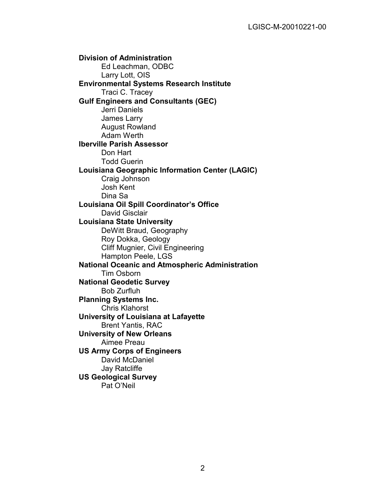**Division of Administration**  Ed Leachman, ODBC Larry Lott, OIS **Environmental Systems Research Institute**  Traci C. Tracey **Gulf Engineers and Consultants (GEC)**  Jerri Daniels James Larry August Rowland Adam Werth **Iberville Parish Assessor**  Don Hart Todd Guerin **Louisiana Geographic Information Center (LAGIC)**  Craig Johnson Josh Kent Dina Sa **Louisiana Oil Spill Coordinator's Office** David Gisclair **Louisiana State University** DeWitt Braud, Geography Roy Dokka, Geology Cliff Mugnier, Civil Engineering Hampton Peele, LGS **National Oceanic and Atmospheric Administration**  Tim Osborn **National Geodetic Survey**  Bob Zurfluh **Planning Systems Inc.** Chris Klahorst **University of Louisiana at Lafayette**  Brent Yantis, RAC **University of New Orleans** Aimee Preau **US Army Corps of Engineers** David McDaniel Jay Ratcliffe **US Geological Survey** Pat O'Neil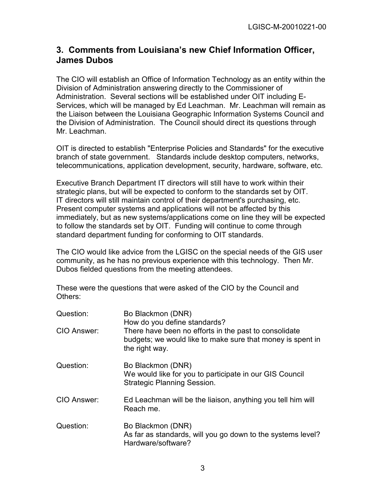# **3. Comments from Louisiana's new Chief Information Officer, James Dubos**

The CIO will establish an Office of Information Technology as an entity within the Division of Administration answering directly to the Commissioner of Administration. Several sections will be established under OIT including E-Services, which will be managed by Ed Leachman. Mr. Leachman will remain as the Liaison between the Louisiana Geographic Information Systems Council and the Division of Administration. The Council should direct its questions through Mr. Leachman.

OIT is directed to establish "Enterprise Policies and Standards" for the executive branch of state government. Standards include desktop computers, networks, telecommunications, application development, security, hardware, software, etc.

Executive Branch Department IT directors will still have to work within their strategic plans, but will be expected to conform to the standards set by OIT. IT directors will still maintain control of their department's purchasing, etc. Present computer systems and applications will not be affected by this immediately, but as new systems/applications come on line they will be expected to follow the standards set by OIT. Funding will continue to come through standard department funding for conforming to OIT standards.

The CIO would like advice from the LGISC on the special needs of the GIS user community, as he has no previous experience with this technology. Then Mr. Dubos fielded questions from the meeting attendees.

These were the questions that were asked of the CIO by the Council and Others:

| Question:   | Bo Blackmon (DNR)<br>How do you define standards?                                                                                     |
|-------------|---------------------------------------------------------------------------------------------------------------------------------------|
| CIO Answer: | There have been no efforts in the past to consolidate<br>budgets; we would like to make sure that money is spent in<br>the right way. |
| Question:   | Bo Blackmon (DNR)<br>We would like for you to participate in our GIS Council<br><b>Strategic Planning Session.</b>                    |
| CIO Answer: | Ed Leachman will be the liaison, anything you tell him will<br>Reach me.                                                              |
| Question:   | Bo Blackmon (DNR)<br>As far as standards, will you go down to the systems level?<br>Hardware/software?                                |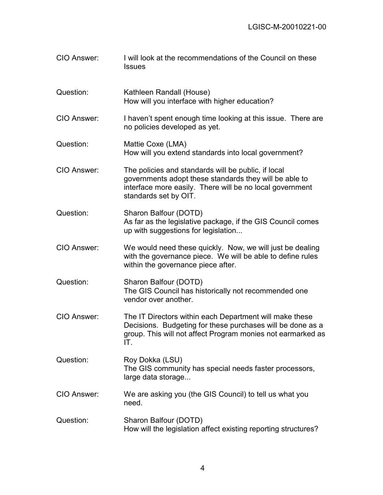| CIO Answer: | I will look at the recommendations of the Council on these<br><b>Issues</b>                                                                                                                        |
|-------------|----------------------------------------------------------------------------------------------------------------------------------------------------------------------------------------------------|
| Question:   | Kathleen Randall (House)<br>How will you interface with higher education?                                                                                                                          |
| CIO Answer: | I haven't spent enough time looking at this issue. There are<br>no policies developed as yet.                                                                                                      |
| Question:   | Mattie Coxe (LMA)<br>How will you extend standards into local government?                                                                                                                          |
| CIO Answer: | The policies and standards will be public, if local<br>governments adopt these standards they will be able to<br>interface more easily. There will be no local government<br>standards set by OIT. |
| Question:   | Sharon Balfour (DOTD)<br>As far as the legislative package, if the GIS Council comes<br>up with suggestions for legislation                                                                        |
| CIO Answer: | We would need these quickly. Now, we will just be dealing<br>with the governance piece. We will be able to define rules<br>within the governance piece after.                                      |
| Question:   | Sharon Balfour (DOTD)<br>The GIS Council has historically not recommended one<br>vendor over another.                                                                                              |
| CIO Answer: | The IT Directors within each Department will make these<br>Decisions. Budgeting for these purchases will be done as a<br>group. This will not affect Program monies not earmarked as<br>IT.        |
| Question:   | Roy Dokka (LSU)<br>The GIS community has special needs faster processors,<br>large data storage                                                                                                    |
| CIO Answer: | We are asking you (the GIS Council) to tell us what you<br>need.                                                                                                                                   |
| Question:   | Sharon Balfour (DOTD)<br>How will the legislation affect existing reporting structures?                                                                                                            |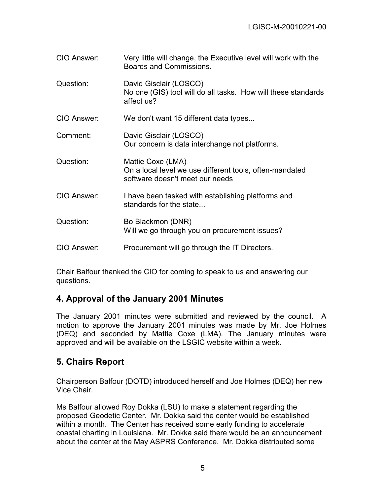| CIO Answer: | Very little will change, the Executive level will work with the<br>Boards and Commissions.                      |
|-------------|-----------------------------------------------------------------------------------------------------------------|
| Question:   | David Gisclair (LOSCO)<br>No one (GIS) tool will do all tasks. How will these standards<br>affect us?           |
| CIO Answer: | We don't want 15 different data types                                                                           |
| Comment:    | David Gisclair (LOSCO)<br>Our concern is data interchange not platforms.                                        |
| Question:   | Mattie Coxe (LMA)<br>On a local level we use different tools, often-mandated<br>software doesn't meet our needs |
| CIO Answer: | I have been tasked with establishing platforms and<br>standards for the state                                   |
| Question:   | Bo Blackmon (DNR)<br>Will we go through you on procurement issues?                                              |
| CIO Answer: | Procurement will go through the IT Directors.                                                                   |

Chair Balfour thanked the CIO for coming to speak to us and answering our questions.

# **4. Approval of the January 2001 Minutes**

The January 2001 minutes were submitted and reviewed by the council. A motion to approve the January 2001 minutes was made by Mr. Joe Holmes (DEQ) and seconded by Mattie Coxe (LMA). The January minutes were approved and will be available on the LSGIC website within a week.

# **5. Chairs Report**

Chairperson Balfour (DOTD) introduced herself and Joe Holmes (DEQ) her new Vice Chair.

Ms Balfour allowed Roy Dokka (LSU) to make a statement regarding the proposed Geodetic Center. Mr. Dokka said the center would be established within a month. The Center has received some early funding to accelerate coastal charting in Louisiana. Mr. Dokka said there would be an announcement about the center at the May ASPRS Conference. Mr. Dokka distributed some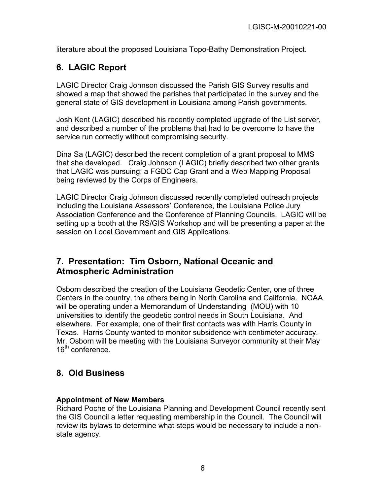literature about the proposed Louisiana Topo-Bathy Demonstration Project.

# **6. LAGIC Report**

LAGIC Director Craig Johnson discussed the Parish GIS Survey results and showed a map that showed the parishes that participated in the survey and the general state of GIS development in Louisiana among Parish governments.

Josh Kent (LAGIC) described his recently completed upgrade of the List server, and described a number of the problems that had to be overcome to have the service run correctly without compromising security.

Dina Sa (LAGIC) described the recent completion of a grant proposal to MMS that she developed. Craig Johnson (LAGIC) briefly described two other grants that LAGIC was pursuing; a FGDC Cap Grant and a Web Mapping Proposal being reviewed by the Corps of Engineers.

LAGIC Director Craig Johnson discussed recently completed outreach projects including the Louisiana Assessors' Conference, the Louisiana Police Jury Association Conference and the Conference of Planning Councils. LAGIC will be setting up a booth at the RS/GIS Workshop and will be presenting a paper at the session on Local Government and GIS Applications.

## **7. Presentation: Tim Osborn, National Oceanic and Atmospheric Administration**

Osborn described the creation of the Louisiana Geodetic Center, one of three Centers in the country, the others being in North Carolina and California. NOAA will be operating under a Memorandum of Understanding (MOU) with 10 universities to identify the geodetic control needs in South Louisiana. And elsewhere. For example, one of their first contacts was with Harris County in Texas. Harris County wanted to monitor subsidence with centimeter accuracy. Mr. Osborn will be meeting with the Louisiana Surveyor community at their May  $16^{th}$  conference.

# **8. Old Business**

#### **Appointment of New Members**

Richard Poche of the Louisiana Planning and Development Council recently sent the GIS Council a letter requesting membership in the Council. The Council will review its bylaws to determine what steps would be necessary to include a nonstate agency.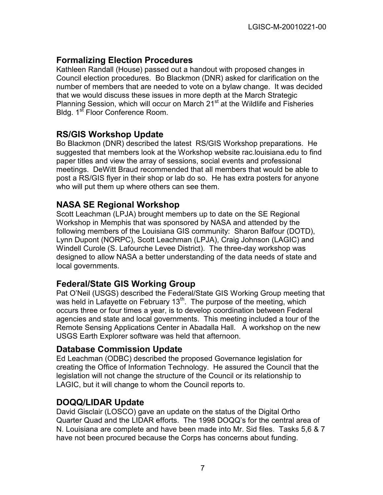# **Formalizing Election Procedures**

Kathleen Randall (House) passed out a handout with proposed changes in Council election procedures. Bo Blackmon (DNR) asked for clarification on the number of members that are needed to vote on a bylaw change. It was decided that we would discuss these issues in more depth at the March Strategic Planning Session, which will occur on March  $21<sup>st</sup>$  at the Wildlife and Fisheries Bldg. 1st Floor Conference Room.

#### **RS/GIS Workshop Update**

Bo Blackmon (DNR) described the latest RS/GIS Workshop preparations. He suggested that members look at the Workshop website rac.louisiana.edu to find paper titles and view the array of sessions, social events and professional meetings. DeWitt Braud recommended that all members that would be able to post a RS/GIS flyer in their shop or lab do so. He has extra posters for anyone who will put them up where others can see them.

## **NASA SE Regional Workshop**

Scott Leachman (LPJA) brought members up to date on the SE Regional Workshop in Memphis that was sponsored by NASA and attended by the following members of the Louisiana GIS community: Sharon Balfour (DOTD), Lynn Dupont (NORPC), Scott Leachman (LPJA), Craig Johnson (LAGIC) and Windell Curole (S. Lafourche Levee District). The three-day workshop was designed to allow NASA a better understanding of the data needs of state and local governments.

## **Federal/State GIS Working Group**

Pat O'Neil (USGS) described the Federal/State GIS Working Group meeting that was held in Lafayette on February 13<sup>th</sup>. The purpose of the meeting, which occurs three or four times a year, is to develop coordination between Federal agencies and state and local governments. This meeting included a tour of the Remote Sensing Applications Center in Abadalla Hall. A workshop on the new USGS Earth Explorer software was held that afternoon.

#### **Database Commission Update**

Ed Leachman (ODBC) described the proposed Governance legislation for creating the Office of Information Technology. He assured the Council that the legislation will not change the structure of the Council or its relationship to LAGIC, but it will change to whom the Council reports to.

## **DOQQ/LIDAR Update**

David Gisclair (LOSCO) gave an update on the status of the Digital Ortho Quarter Quad and the LIDAR efforts. The 1998 DOQQ's for the central area of N. Louisiana are complete and have been made into Mr. Sid files. Tasks 5,6 & 7 have not been procured because the Corps has concerns about funding.